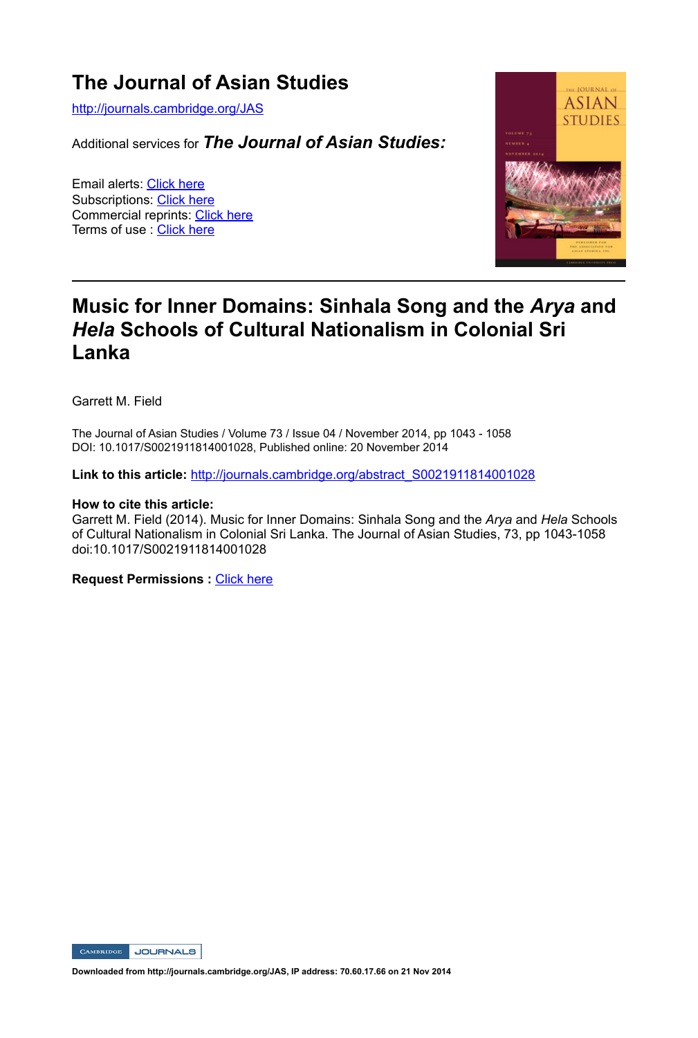# **The Journal of Asian Studies**

http://journals.cambridge.org/JAS

Additional services for *The Journal of Asian Studies:*

Email alerts: Click here Subscriptions: Click here Commercial reprints: Click here Terms of use : Click here



## **Music for Inner Domains: Sinhala Song and the** *Arya* **and** *Hela* **Schools of Cultural Nationalism in Colonial Sri Lanka**

Garrett M. Field

The Journal of Asian Studies / Volume 73 / Issue 04 / November 2014, pp 1043 - 1058 DOI: 10.1017/S0021911814001028, Published online: 20 November 2014

**Link to this article:** http://journals.cambridge.org/abstract\_S0021911814001028

#### **How to cite this article:**

Garrett M. Field (2014). Music for Inner Domains: Sinhala Song and the *Arya* and *Hela* Schools of Cultural Nationalism in Colonial Sri Lanka. The Journal of Asian Studies, 73, pp 1043-1058 doi:10.1017/S0021911814001028

**Request Permissions :** Click here

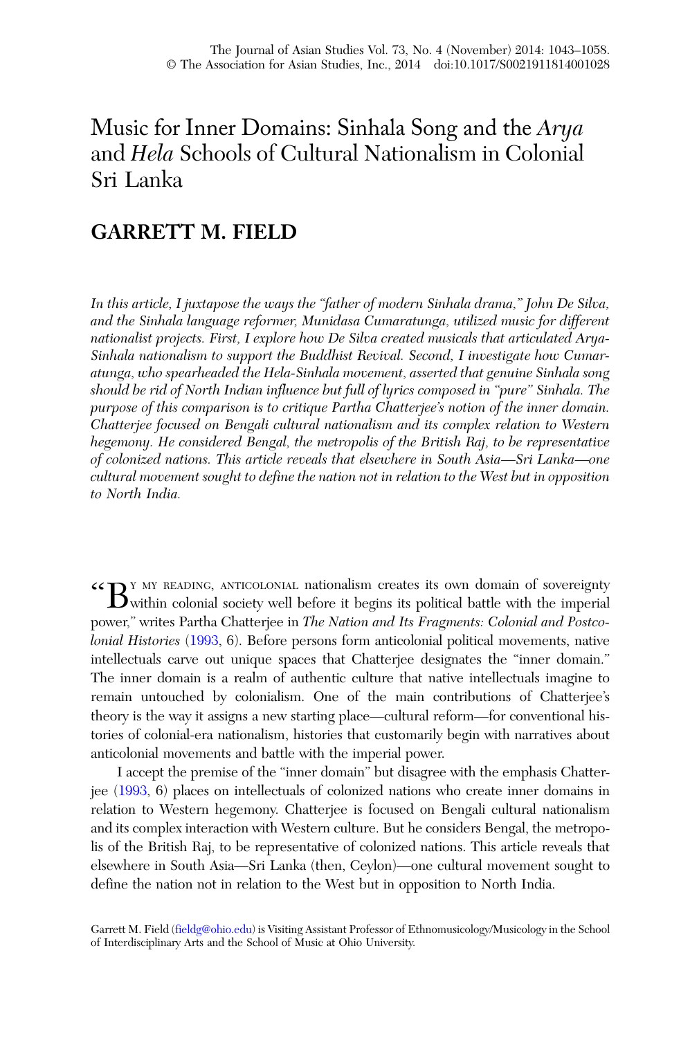# Music for Inner Domains: Sinhala Song and the Arya and Hela Schools of Cultural Nationalism in Colonial Sri Lanka

## GARRETT M. FIELD

In this article, I juxtapose the ways the "father of modern Sinhala drama," John De Silva, and the Sinhala language reformer, Munidasa Cumaratunga, utilized music for different nationalist projects. First, I explore how De Silva created musicals that articulated Arya-Sinhala nationalism to support the Buddhist Revival. Second, I investigate how Cumaratunga, who spearheaded the Hela-Sinhala movement, asserted that genuine Sinhala song should be rid of North Indian influence but full of lyrics composed in "pure" Sinhala. The purpose of this comparison is to critique Partha Chatterjee's notion of the inner domain. Chatterjee focused on Bengali cultural nationalism and its complex relation to Western hegemony. He considered Bengal, the metropolis of the British Raj, to be representative of colonized nations. This article reveals that elsewhere in South Asia—Sri Lanka—one cultural movement sought to define the nation not in relation to the West but in opposition to North India.

**EXECUTE TEXT** MY READING, ANTICOLONIAL nationalism creates its own domain of sovereignty within colonial society well before it begins its political battle with the imperial power," writes Partha Chatterjee in The Nation and Its Fragments: Colonial and Postcolonial Histories ([1993,](#page-15-0) 6). Before persons form anticolonial political movements, native intellectuals carve out unique spaces that Chatterjee designates the "inner domain." The inner domain is a realm of authentic culture that native intellectuals imagine to remain untouched by colonialism. One of the main contributions of Chatterjee's theory is the way it assigns a new starting place—cultural reform—for conventional histories of colonial-era nationalism, histories that customarily begin with narratives about anticolonial movements and battle with the imperial power.

I accept the premise of the "inner domain" but disagree with the emphasis Chatterjee ([1993,](#page-15-0) 6) places on intellectuals of colonized nations who create inner domains in relation to Western hegemony. Chatterjee is focused on Bengali cultural nationalism and its complex interaction with Western culture. But he considers Bengal, the metropolis of the British Raj, to be representative of colonized nations. This article reveals that elsewhere in South Asia—Sri Lanka (then, Ceylon)—one cultural movement sought to define the nation not in relation to the West but in opposition to North India.

Garrett M. Field [\(fieldg@ohio.edu\)](mailto:fieldg@ohio.edu) is Visiting Assistant Professor of Ethnomusicology/Musicology in the School of Interdisciplinary Arts and the School of Music at Ohio University.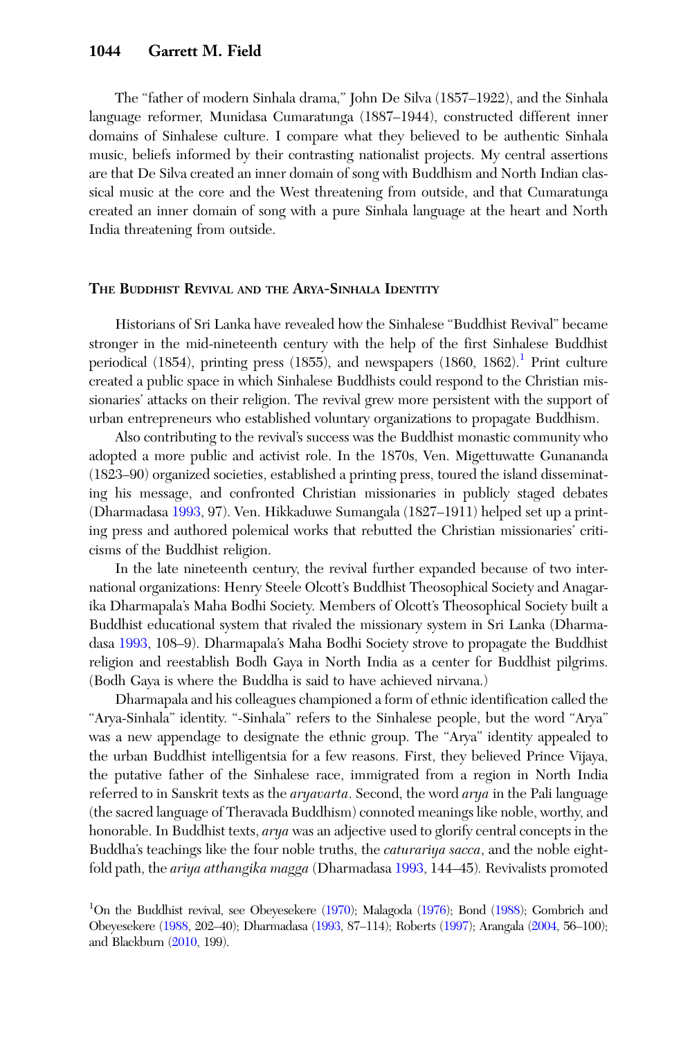## 1044 Garrett M. Field

The "father of modern Sinhala drama," John De Silva (1857–1922), and the Sinhala language reformer, Munidasa Cumaratunga (1887–1944), constructed different inner domains of Sinhalese culture. I compare what they believed to be authentic Sinhala music, beliefs informed by their contrasting nationalist projects. My central assertions are that De Silva created an inner domain of song with Buddhism and North Indian classical music at the core and the West threatening from outside, and that Cumaratunga created an inner domain of song with a pure Sinhala language at the heart and North India threatening from outside.

### THE BUDDHIST REVIVAL AND THE ARYA-SINHALA IDENTITY

Historians of Sri Lanka have revealed how the Sinhalese "Buddhist Revival" became stronger in the mid-nineteenth century with the help of the first Sinhalese Buddhist periodical  $(1854)$ , printing press  $(1855)$ , and newspapers  $(1860, 1862)$ .<sup>1</sup> Print culture created a public space in which Sinhalese Buddhists could respond to the Christian missionaries' attacks on their religion. The revival grew more persistent with the support of urban entrepreneurs who established voluntary organizations to propagate Buddhism.

Also contributing to the revival's success was the Buddhist monastic community who adopted a more public and activist role. In the 1870s, Ven. Migettuwatte Gunananda (1823–90) organized societies, established a printing press, toured the island disseminating his message, and confronted Christian missionaries in publicly staged debates (Dharmadasa [1993](#page-15-0), 97). Ven. Hikkaduwe Sumangala (1827–1911) helped set up a printing press and authored polemical works that rebutted the Christian missionaries' criticisms of the Buddhist religion.

In the late nineteenth century, the revival further expanded because of two international organizations: Henry Steele Olcott's Buddhist Theosophical Society and Anagarika Dharmapala's Maha Bodhi Society. Members of Olcott's Theosophical Society built a Buddhist educational system that rivaled the missionary system in Sri Lanka (Dharmadasa [1993](#page-15-0), 108–9). Dharmapala's Maha Bodhi Society strove to propagate the Buddhist religion and reestablish Bodh Gaya in North India as a center for Buddhist pilgrims. (Bodh Gaya is where the Buddha is said to have achieved nirvana.)

Dharmapala and his colleagues championed a form of ethnic identification called the "Arya-Sinhala" identity. "-Sinhala" refers to the Sinhalese people, but the word "Arya" was a new appendage to designate the ethnic group. The "Arya" identity appealed to the urban Buddhist intelligentsia for a few reasons. First, they believed Prince Vijaya, the putative father of the Sinhalese race, immigrated from a region in North India referred to in Sanskrit texts as the aryavarta. Second, the word arya in the Pali language (the sacred language of Theravada Buddhism) connoted meanings like noble, worthy, and honorable. In Buddhist texts, *arya* was an adjective used to glorify central concepts in the Buddha's teachings like the four noble truths, the *caturariya sacca*, and the noble eightfold path, the ariya atthangika magga (Dharmadasa [1993,](#page-15-0) 144–45). Revivalists promoted

<sup>&</sup>lt;sup>1</sup>On the Buddhist revival, see Obeyesekere ([1970\)](#page-16-0); Malagoda [\(1976](#page-16-0)); Bond [\(1988\)](#page-15-0); Gombrich and Obeyesekere [\(1988](#page-15-0), 202–40); Dharmadasa ([1993](#page-15-0), 87–114); Roberts ([1997\)](#page-16-0); Arangala ([2004](#page-14-0), 56–100); and Blackburn [\(2010](#page-14-0), 199).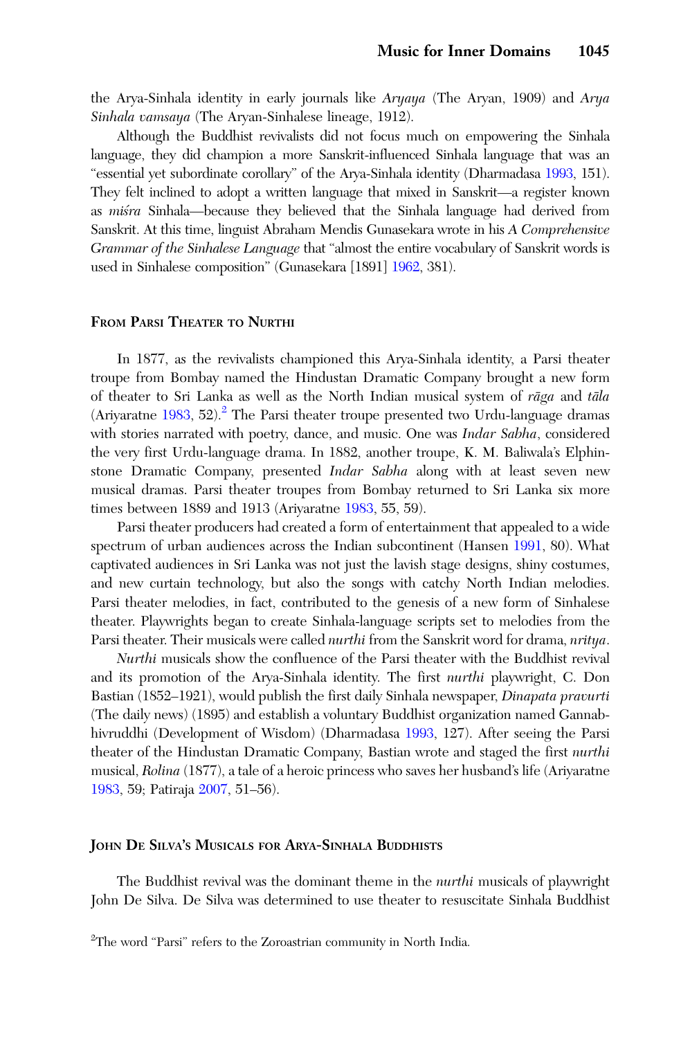the Arya-Sinhala identity in early journals like Aryaya (The Aryan, 1909) and Arya Sinhala vamsaya (The Aryan-Sinhalese lineage, 1912).

Although the Buddhist revivalists did not focus much on empowering the Sinhala language, they did champion a more Sanskrit-influenced Sinhala language that was an "essential yet subordinate corollary" of the Arya-Sinhala identity (Dharmadasa [1993](#page-15-0), 151). They felt inclined to adopt a written language that mixed in Sanskrit—a register known as *mista* Sinhala—because they believed that the Sinhala language had derived from Sanskrit. At this time, linguist Abraham Mendis Gunasekara wrote in his A Comprehensive Grammar of the Sinhalese Language that "almost the entire vocabulary of Sanskrit words is used in Sinhalese composition" (Gunasekara [1891] [1962](#page-15-0), 381).

#### FROM PARSI THEATER TO NURTHI

In 1877, as the revivalists championed this Arya-Sinhala identity, a Parsi theater troupe from Bombay named the Hindustan Dramatic Company brought a new form of theater to Sri Lanka as well as the North Indian musical system of  $r\bar{a}ga$  and  $t\bar{a}la$ (Ariyaratne  $1983$ , 52).<sup>2</sup> The Parsi theater troupe presented two Urdu-language dramas with stories narrated with poetry, dance, and music. One was *Indar Sabha*, considered the very first Urdu-language drama. In 1882, another troupe, K. M. Baliwala's Elphinstone Dramatic Company, presented Indar Sabha along with at least seven new musical dramas. Parsi theater troupes from Bombay returned to Sri Lanka six more times between 1889 and 1913 (Ariyaratne [1983](#page-14-0), 55, 59).

Parsi theater producers had created a form of entertainment that appealed to a wide spectrum of urban audiences across the Indian subcontinent (Hansen [1991,](#page-15-0) 80). What captivated audiences in Sri Lanka was not just the lavish stage designs, shiny costumes, and new curtain technology, but also the songs with catchy North Indian melodies. Parsi theater melodies, in fact, contributed to the genesis of a new form of Sinhalese theater. Playwrights began to create Sinhala-language scripts set to melodies from the Parsi theater. Their musicals were called nurthi from the Sanskrit word for drama, nritya.

Nurthi musicals show the confluence of the Parsi theater with the Buddhist revival and its promotion of the Arya-Sinhala identity. The first nurthi playwright, C. Don Bastian (1852–1921), would publish the first daily Sinhala newspaper, Dinapata pravurti (The daily news) (1895) and establish a voluntary Buddhist organization named Gannabhivruddhi (Development of Wisdom) (Dharmadasa [1993,](#page-15-0) 127). After seeing the Parsi theater of the Hindustan Dramatic Company, Bastian wrote and staged the first nurthi musical, Rolina (1877), a tale of a heroic princess who saves her husband's life (Ariyaratne [1983,](#page-14-0) 59; Patiraja [2007,](#page-16-0) 51–56).

#### JOHN DE SILVA'<sup>S</sup> MUSICALS FOR ARYA-SINHALA BUDDHISTS

The Buddhist revival was the dominant theme in the *nurthi* musicals of playwright John De Silva. De Silva was determined to use theater to resuscitate Sinhala Buddhist

<sup>&</sup>lt;sup>2</sup>The word "Parsi" refers to the Zoroastrian community in North India.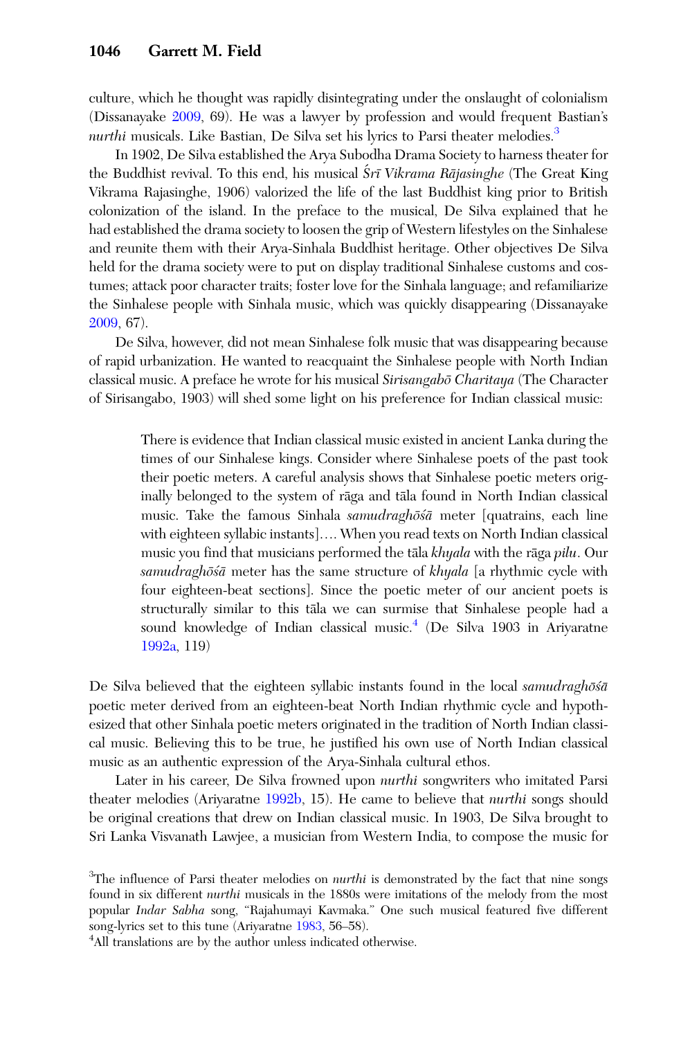culture, which he thought was rapidly disintegrating under the onslaught of colonialism (Dissanayake [2009](#page-15-0), 69). He was a lawyer by profession and would frequent Bastian's nurthi musicals. Like Bastian, De Silva set his lyrics to Parsi theater melodies.<sup>3</sup>

In 1902, De Silva established the Arya Subodha Drama Society to harness theater for the Buddhist revival. To this end, his musical Śrī Vikrama Rājasinghe (The Great King Vikrama Rajasinghe, 1906) valorized the life of the last Buddhist king prior to British colonization of the island. In the preface to the musical, De Silva explained that he had established the drama society to loosen the grip of Western lifestyles on the Sinhalese and reunite them with their Arya-Sinhala Buddhist heritage. Other objectives De Silva held for the drama society were to put on display traditional Sinhalese customs and costumes; attack poor character traits; foster love for the Sinhala language; and refamiliarize the Sinhalese people with Sinhala music, which was quickly disappearing (Dissanayake [2009,](#page-15-0) 67).

De Silva, however, did not mean Sinhalese folk music that was disappearing because of rapid urbanization. He wanted to reacquaint the Sinhalese people with North Indian classical music. A preface he wrote for his musical Sirisangabo Charitaya (The Character of Sirisangabo, 1903) will shed some light on his preference for Indian classical music:

There is evidence that Indian classical music existed in ancient Lanka during the times of our Sinhalese kings. Consider where Sinhalese poets of the past took their poetic meters. A careful analysis shows that Sinhalese poetic meters originally belonged to the system of raga and tala found in North Indian classical music. Take the famous Sinhala samudraghos $\bar{a}$  meter [quatrains, each line with eighteen syllabic instants]…. When you read texts on North Indian classical music you find that musicians performed the tala khyala with the raga pilu. Our samudragho $\tilde{s}$ a meter has the same structure of khyala [a rhythmic cycle with four eighteen-beat sections]. Since the poetic meter of our ancient poets is structurally similar to this tāla we can surmise that Sinhalese people had a sound knowledge of Indian classical music.<sup>4</sup> (De Silva 1903 in Ariyaratne [1992a](#page-14-0), 119)

De Silva believed that the eighteen syllabic instants found in the local samudraghosa<sup>56</sup> poetic meter derived from an eighteen-beat North Indian rhythmic cycle and hypothesized that other Sinhala poetic meters originated in the tradition of North Indian classical music. Believing this to be true, he justified his own use of North Indian classical music as an authentic expression of the Arya-Sinhala cultural ethos.

Later in his career, De Silva frowned upon nurthi songwriters who imitated Parsi theater melodies (Ariyaratne [1992b](#page-14-0), 15). He came to believe that nurthi songs should be original creations that drew on Indian classical music. In 1903, De Silva brought to Sri Lanka Visvanath Lawjee, a musician from Western India, to compose the music for

<sup>4</sup>All translations are by the author unless indicated otherwise.

<sup>&</sup>lt;sup>3</sup>The influence of Parsi theater melodies on *nurthi* is demonstrated by the fact that nine songs found in six different nurthi musicals in the 1880s were imitations of the melody from the most popular Indar Sabha song, "Rajahumayi Kavmaka." One such musical featured five different song-lyrics set to this tune (Ariyaratne [1983](#page-14-0), 56–58).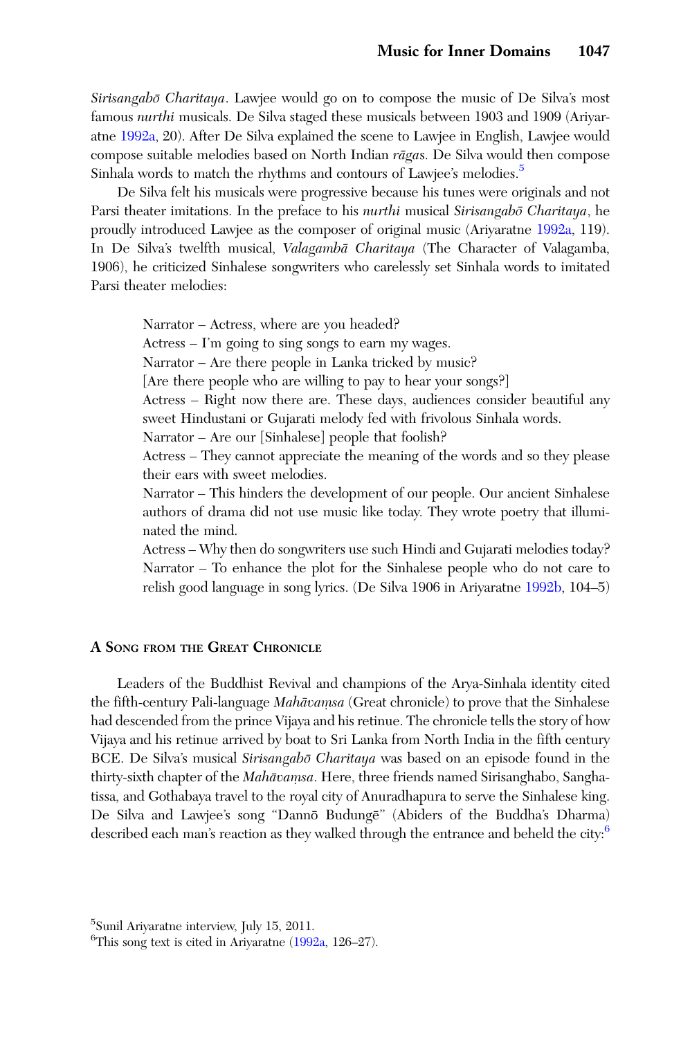Sirisangabo Charitaya. Lawjee would go on to compose the music of De Silva's most famous nurthi musicals. De Silva staged these musicals between 1903 and 1909 (Ariyaratne [1992a,](#page-14-0) 20). After De Silva explained the scene to Lawjee in English, Lawjee would compose suitable melodies based on North Indian  $rāgas$ . De Silva would then compose Sinhala words to match the rhythms and contours of Lawjee's melodies.<sup>5</sup>

De Silva felt his musicals were progressive because his tunes were originals and not Parsi theater imitations. In the preface to his *nurthi* musical *Sirisangabo Charitaya*, he proudly introduced Lawjee as the composer of original music (Ariyaratne [1992a](#page-14-0), 119). In De Silva's twelfth musical, Valagamba Charitaya (The Character of Valagamba, 1906), he criticized Sinhalese songwriters who carelessly set Sinhala words to imitated Parsi theater melodies:

Narrator – Actress, where are you headed?

Actress – I'm going to sing songs to earn my wages.

Narrator – Are there people in Lanka tricked by music?

[Are there people who are willing to pay to hear your songs?]

Actress – Right now there are. These days, audiences consider beautiful any sweet Hindustani or Gujarati melody fed with frivolous Sinhala words.

Narrator – Are our [Sinhalese] people that foolish?

Actress – They cannot appreciate the meaning of the words and so they please their ears with sweet melodies.

Narrator – This hinders the development of our people. Our ancient Sinhalese authors of drama did not use music like today. They wrote poetry that illuminated the mind.

Actress – Why then do songwriters use such Hindi and Gujarati melodies today? Narrator – To enhance the plot for the Sinhalese people who do not care to relish good language in song lyrics. (De Silva 1906 in Ariyaratne [1992b](#page-14-0), 104–5)

## A SONG FROM THE GREAT CHRONICLE

Leaders of the Buddhist Revival and champions of the Arya-Sinhala identity cited the fifth-century Pali-language *Mahāvamsa* (Great chronicle) to prove that the Sinhalese had descended from the prince Vijaya and his retinue. The chronicle tells the story of how Vijaya and his retinue arrived by boat to Sri Lanka from North India in the fifth century BCE. De Silva's musical Sirisangabo Charitaya was based on an episode found in the thirty-sixth chapter of the *Mahāvamsa*. Here, three friends named Sirisanghabo, Sanghatissa, and Gothabaya travel to the royal city of Anuradhapura to serve the Sinhalese king. De Silva and Lawjee's song "Dannō Budunge" (Abiders of the Buddha's Dharma) described each man's reaction as they walked through the entrance and beheld the city:<sup>6</sup>

<sup>5</sup> Sunil Ariyaratne interview, July 15, 2011.

<sup>&</sup>lt;sup>6</sup>This song text is cited in Ariyaratne [\(1992a](#page-14-0), 126–27).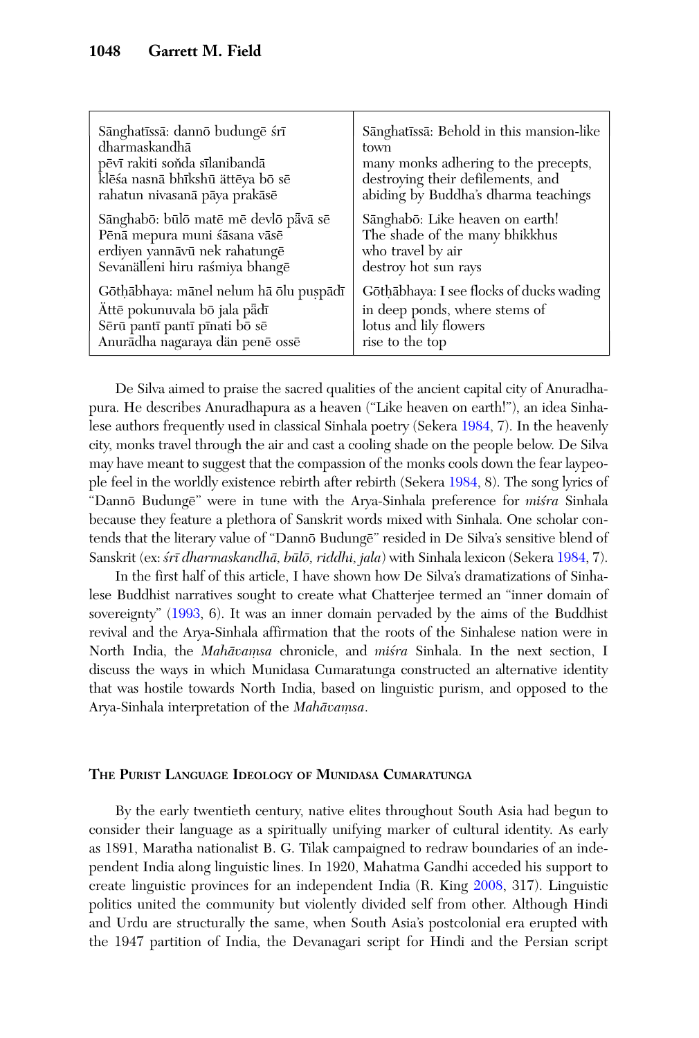| Sānghatīssā: dannō budungē śrī         | Sānghatīssā: Behold in this mansion-like |
|----------------------------------------|------------------------------------------|
| dharmaskandhā                          | town                                     |
| pēvī rakiti soňda sīlanibandā          | many monks adhering to the precepts,     |
| klēśa nasnā bhīkshū ättēya bō sē       | destroying their defilements, and        |
| rahatun nivasanā pāya prakāsē          | abiding by Buddha's dharma teachings     |
| Sānghabō: būlō matē mē devlō pāvā sē   | Sānghabō: Like heaven on earth!          |
| Pēnā mepura muni śāsana vāsē           | The shade of the many bhikkhus           |
| erdiyen yannāvū nek rahatungē          | who travel by air                        |
| Sevanälleni hiru raśmiya bhangē        | destroy hot sun rays                     |
| Gōthābhaya: mānel nelum hā ōlu puspādī | Gōthābhaya: I see flocks of ducks wading |
| Ättē pokunuvala bō jala pādī           | in deep ponds, where stems of            |
| Sērū pantī pantī pīnati bō sē          | lotus and lily flowers                   |
| Anurādha nagaraya dän penē ossē        | rise to the top                          |

De Silva aimed to praise the sacred qualities of the ancient capital city of Anuradhapura. He describes Anuradhapura as a heaven ("Like heaven on earth!"), an idea Sinhalese authors frequently used in classical Sinhala poetry (Sekera [1984,](#page-16-0) 7). In the heavenly city, monks travel through the air and cast a cooling shade on the people below. De Silva may have meant to suggest that the compassion of the monks cools down the fear laypeople feel in the worldly existence rebirth after rebirth (Sekera [1984](#page-16-0), 8). The song lyrics of "Danno Budunge" were in tune with the Arya-Sinhala preference for *mista* Sinhala because they feature a plethora of Sanskrit words mixed with Sinhala. One scholar contends that the literary value of "Danno<sup>n</sup> Budunge" resided in De Silva's sensitive blend of Sanskrit (ex: śrī dharmaskandhā, būlō, riddhi, jala) with Sinhala lexicon (Sekera [1984](#page-16-0), 7).

In the first half of this article, I have shown how De Silva's dramatizations of Sinhalese Buddhist narratives sought to create what Chatterjee termed an "inner domain of sovereignty" ([1993,](#page-15-0) 6). It was an inner domain pervaded by the aims of the Buddhist revival and the Arya-Sinhala affirmation that the roots of the Sinhalese nation were in North India, the Mahāvamsa chronicle, and mistra Sinhala. In the next section, I discuss the ways in which Munidasa Cumaratunga constructed an alternative identity that was hostile towards North India, based on linguistic purism, and opposed to the Arya-Sinhala interpretation of the Mahāvamsa.

#### THE PURIST LANGUAGE IDEOLOGY OF MUNIDASA CUMARATUNGA

By the early twentieth century, native elites throughout South Asia had begun to consider their language as a spiritually unifying marker of cultural identity. As early as 1891, Maratha nationalist B. G. Tilak campaigned to redraw boundaries of an independent India along linguistic lines. In 1920, Mahatma Gandhi acceded his support to create linguistic provinces for an independent India (R. King [2008,](#page-15-0) 317). Linguistic politics united the community but violently divided self from other. Although Hindi and Urdu are structurally the same, when South Asia's postcolonial era erupted with the 1947 partition of India, the Devanagari script for Hindi and the Persian script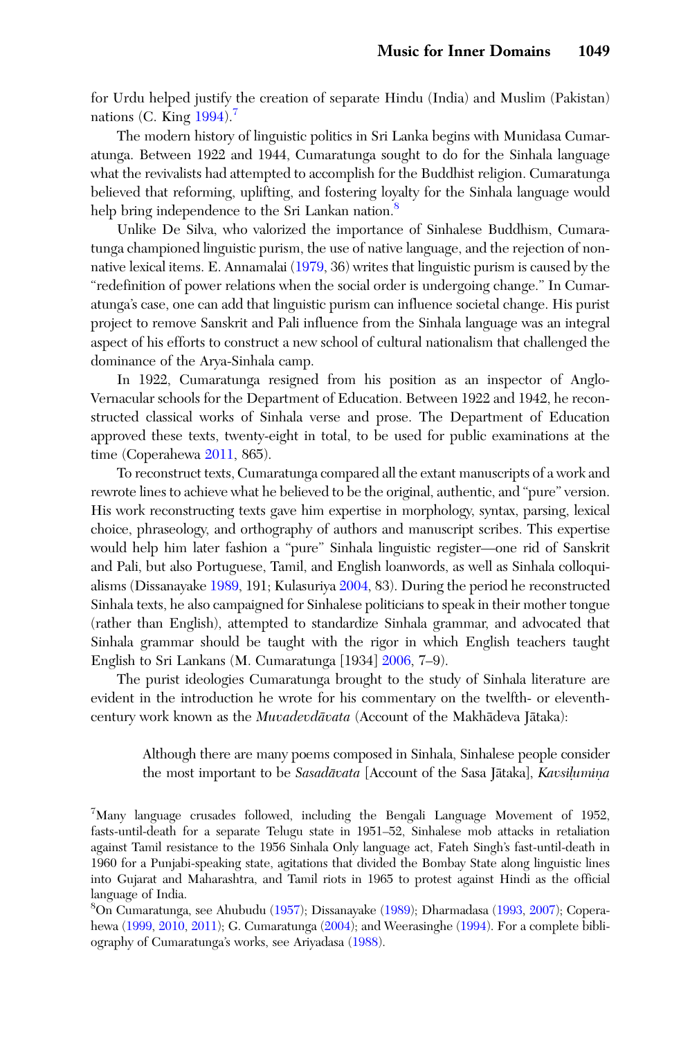for Urdu helped justify the creation of separate Hindu (India) and Muslim (Pakistan) nations (C. King  $1994$ ).<sup>7</sup>

The modern history of linguistic politics in Sri Lanka begins with Munidasa Cumaratunga. Between 1922 and 1944, Cumaratunga sought to do for the Sinhala language what the revivalists had attempted to accomplish for the Buddhist religion. Cumaratunga believed that reforming, uplifting, and fostering loyalty for the Sinhala language would help bring independence to the Sri Lankan nation.<sup>8</sup>

Unlike De Silva, who valorized the importance of Sinhalese Buddhism, Cumaratunga championed linguistic purism, the use of native language, and the rejection of nonnative lexical items. E. Annamalai ([1979,](#page-14-0) 36) writes that linguistic purism is caused by the "redefinition of power relations when the social order is undergoing change." In Cumaratunga's case, one can add that linguistic purism can influence societal change. His purist project to remove Sanskrit and Pali influence from the Sinhala language was an integral aspect of his efforts to construct a new school of cultural nationalism that challenged the dominance of the Arya-Sinhala camp.

In 1922, Cumaratunga resigned from his position as an inspector of Anglo-Vernacular schools for the Department of Education. Between 1922 and 1942, he reconstructed classical works of Sinhala verse and prose. The Department of Education approved these texts, twenty-eight in total, to be used for public examinations at the time (Coperahewa [2011](#page-15-0), 865).

To reconstruct texts, Cumaratunga compared all the extant manuscripts of a work and rewrote lines to achieve what he believed to be the original, authentic, and "pure" version. His work reconstructing texts gave him expertise in morphology, syntax, parsing, lexical choice, phraseology, and orthography of authors and manuscript scribes. This expertise would help him later fashion a "pure" Sinhala linguistic register—one rid of Sanskrit and Pali, but also Portuguese, Tamil, and English loanwords, as well as Sinhala colloquialisms (Dissanayake [1989,](#page-15-0) 191; Kulasuriya [2004](#page-16-0), 83). During the period he reconstructed Sinhala texts, he also campaigned for Sinhalese politicians to speak in their mother tongue (rather than English), attempted to standardize Sinhala grammar, and advocated that Sinhala grammar should be taught with the rigor in which English teachers taught English to Sri Lankans (M. Cumaratunga [1934] [2006,](#page-15-0) 7–9).

The purist ideologies Cumaratunga brought to the study of Sinhala literature are evident in the introduction he wrote for his commentary on the twelfth- or eleventhcentury work known as the *Muvadevdāvata* (Account of the Makhādeva Jātaka):

Although there are many poems composed in Sinhala, Sinhalese people consider the most important to be Sasadāvata [Account of the Sasa Jātaka], Kavsilumina

<sup>7</sup>Many language crusades followed, including the Bengali Language Movement of 1952, fasts-until-death for a separate Telugu state in 1951–52, Sinhalese mob attacks in retaliation against Tamil resistance to the 1956 Sinhala Only language act, Fateh Singh's fast-until-death in 1960 for a Punjabi-speaking state, agitations that divided the Bombay State along linguistic lines into Gujarat and Maharashtra, and Tamil riots in 1965 to protest against Hindi as the official language of India.

8 On Cumaratunga, see Ahubudu [\(1957](#page-14-0)); Dissanayake ([1989\)](#page-15-0); Dharmadasa [\(1993](#page-15-0), [2007](#page-15-0)); Coperahewa [\(1999](#page-15-0), [2010](#page-15-0), [2011\)](#page-15-0); G. Cumaratunga [\(2004](#page-15-0)); and Weerasinghe [\(1994](#page-16-0)). For a complete bibliography of Cumaratunga's works, see Ariyadasa [\(1988](#page-14-0)).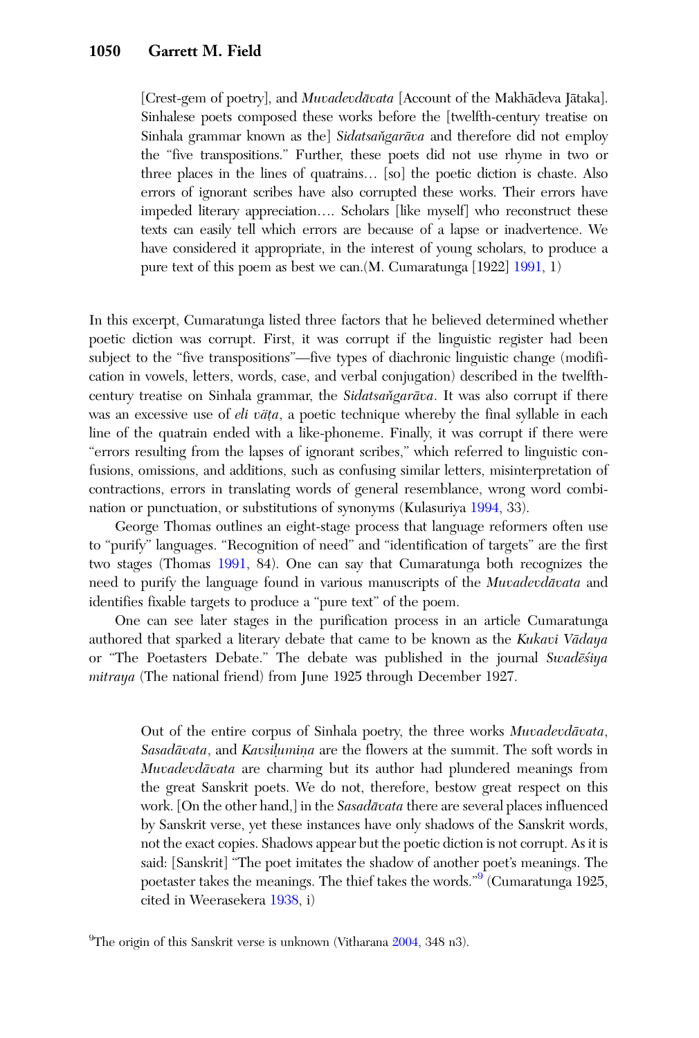## 1050 Garrett M. Field

[Crest-gem of poetry], and *Muvadevdāvata* [Account of the Makhādeva Jātaka]. Sinhalese poets composed these works before the [twelfth-century treatise on Sinhala grammar known as the] Sidatsangarava and therefore did not employ the "five transpositions." Further, these poets did not use rhyme in two or three places in the lines of quatrains… [so] the poetic diction is chaste. Also errors of ignorant scribes have also corrupted these works. Their errors have impeded literary appreciation…. Scholars [like myself] who reconstruct these texts can easily tell which errors are because of a lapse or inadvertence. We have considered it appropriate, in the interest of young scholars, to produce a pure text of this poem as best we can.(M. Cumaratunga [1922] [1991,](#page-15-0) 1)

In this excerpt, Cumaratunga listed three factors that he believed determined whether poetic diction was corrupt. First, it was corrupt if the linguistic register had been subject to the "five transpositions"—five types of diachronic linguistic change (modification in vowels, letters, words, case, and verbal conjugation) described in the twelfthcentury treatise on Sinhala grammar, the Sidatsañgarāva. It was also corrupt if there was an excessive use of *eli väta*, a poetic technique whereby the final syllable in each line of the quatrain ended with a like-phoneme. Finally, it was corrupt if there were "errors resulting from the lapses of ignorant scribes," which referred to linguistic confusions, omissions, and additions, such as confusing similar letters, misinterpretation of contractions, errors in translating words of general resemblance, wrong word combination or punctuation, or substitutions of synonyms (Kulasuriya [1994](#page-15-0), 33).

George Thomas outlines an eight-stage process that language reformers often use to "purify" languages. "Recognition of need" and "identification of targets" are the first two stages (Thomas [1991,](#page-16-0) 84). One can say that Cumaratunga both recognizes the need to purify the language found in various manuscripts of the *Muvadevdavata* and identifies fixable targets to produce a "pure text" of the poem.

One can see later stages in the purification process in an article Cumaratunga authored that sparked a literary debate that came to be known as the Kukavi Vadaya or "The Poetasters Debate." The debate was published in the journal Swadestiya mitraya (The national friend) from June 1925 through December 1927.

Out of the entire corpus of Sinhala poetry, the three works *Muvadevdavata*, Sasadāvata, and Kavsilumina are the flowers at the summit. The soft words in Muvadevdāvata are charming but its author had plundered meanings from the great Sanskrit poets. We do not, therefore, bestow great respect on this work. [On the other hand,] in the Sasadāvata there are several places influenced by Sanskrit verse, yet these instances have only shadows of the Sanskrit words, not the exact copies. Shadows appear but the poetic diction is not corrupt. As it is said: [Sanskrit] "The poet imitates the shadow of another poet's meanings. The poetaster takes the meanings. The thief takes the words." <sup>9</sup> (Cumaratunga 1925, cited in Weerasekera [1938](#page-16-0), i)

<sup>9</sup>The origin of this Sanskrit verse is unknown (Vitharana [2004](#page-16-0), 348 n3).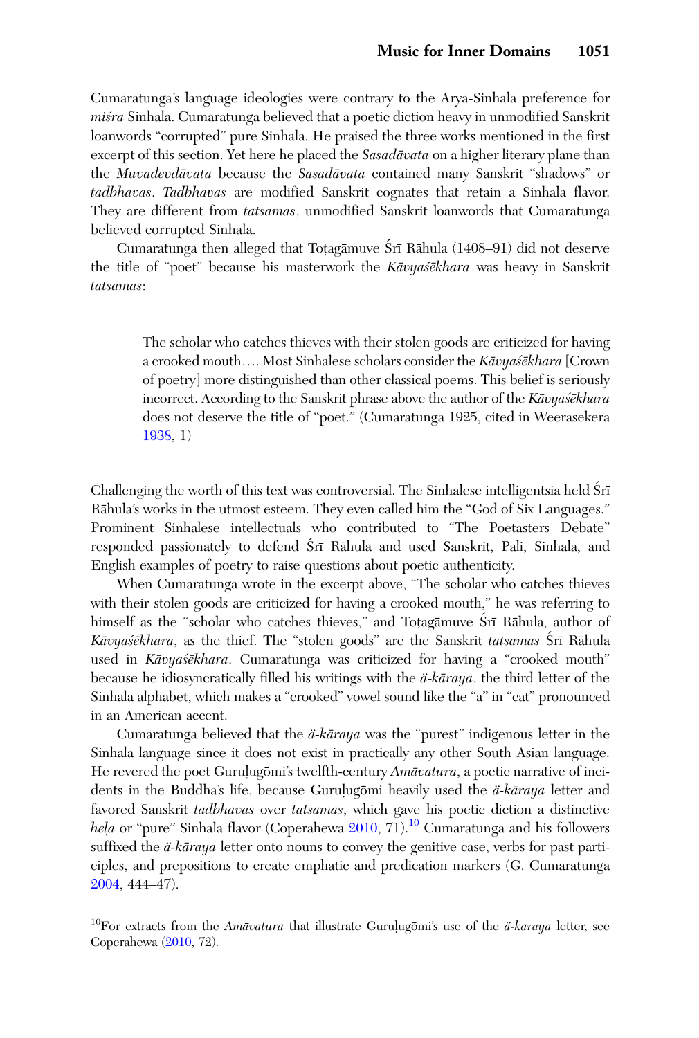Cumaratunga's language ideologies were contrary to the Arya-Sinhala preference for *mista* Sinhala. Cumaratunga believed that a poetic diction heavy in unmodified Sanskrit loanwords "corrupted" pure Sinhala. He praised the three works mentioned in the first excerpt of this section. Yet here he placed the Sasad $\bar{a}v$ ata on a higher literary plane than the *Muvadevdāvata* because the *Sasadāvata* contained many Sanskrit "shadows" or tadbhavas. Tadbhavas are modified Sanskrit cognates that retain a Sinhala flavor. They are different from tatsamas, unmodified Sanskrit loanwords that Cumaratunga believed corrupted Sinhala.

Cumaratunga then alleged that Totagāmuve Śrī Rāhula (1408–91) did not deserve the title of "poet" because his masterwork the Kavyas´ēkhara was heavy in Sanskrit tatsamas:

The scholar who catches thieves with their stolen goods are criticized for having a crooked mouth.... Most Sinhalese scholars consider the Kāvyaśēkhara [Crown] of poetry] more distinguished than other classical poems. This belief is seriously incorrect. According to the Sanskrit phrase above the author of the Kavyase<sup>khara</sup> does not deserve the title of "poet." (Cumaratunga 1925, cited in Weerasekera [1938,](#page-16-0) 1)

Challenging the worth of this text was controversial. The Sinhalese intelligentsia held Srī Rāhula's works in the utmost esteem. They even called him the "God of Six Languages." Prominent Sinhalese intellectuals who contributed to "The Poetasters Debate" responded passionately to defend  $\overline{S}$ rī Rāhula and used Sanskrit, Pali, Sinhala, and English examples of poetry to raise questions about poetic authenticity.

When Cumaratunga wrote in the excerpt above, "The scholar who catches thieves with their stolen goods are criticized for having a crooked mouth," he was referring to himself as the "scholar who catches thieves," and Totagamuve Sri Rahula, author of Kāvyaśēkhara, as the thief. The "stolen goods" are the Sanskrit tatsamas Śrī Rāhula used in Kāvyas´ekhara. Cumaratunga was criticized for having a "crooked mouth" because he idiosyncratically filled his writings with the  $\ddot{a}$ -ka $\ddot{a}$  ray a, the third letter of the Sinhala alphabet, which makes a "crooked" vowel sound like the "a" in "cat" pronounced in an American accent.

Cumaratunga believed that the  $\ddot{a}$ -kā $\dot{a}$  raya was the "purest" indigenous letter in the Sinhala language since it does not exist in practically any other South Asian language. He revered the poet Gurulugomi's twelfth-century Amavatura, a poetic narrative of incidents in the Buddha's life, because Gurulugomi heavily used the  $\ddot{a}$ -ka $\ddot{a}$  raya letter and favored Sanskrit tadbhavas over tatsamas, which gave his poetic diction a distinctive *hela* or "pure" Sinhala flavor (Coperahewa  $2010$ , 71).<sup>10</sup> Cumaratunga and his followers suffixed the  $\ddot{a}$ -ka $\ddot{a}raya$  letter onto nouns to convey the genitive case, verbs for past participles, and prepositions to create emphatic and predication markers (G. Cumaratunga [2004,](#page-15-0) 444–47).

<sup>&</sup>lt;sup>10</sup>For extracts from the Amavatura that illustrate Gurulugomi's use of the  $\ddot{a}$ -karaya letter, see Coperahewa ([2010,](#page-15-0) 72).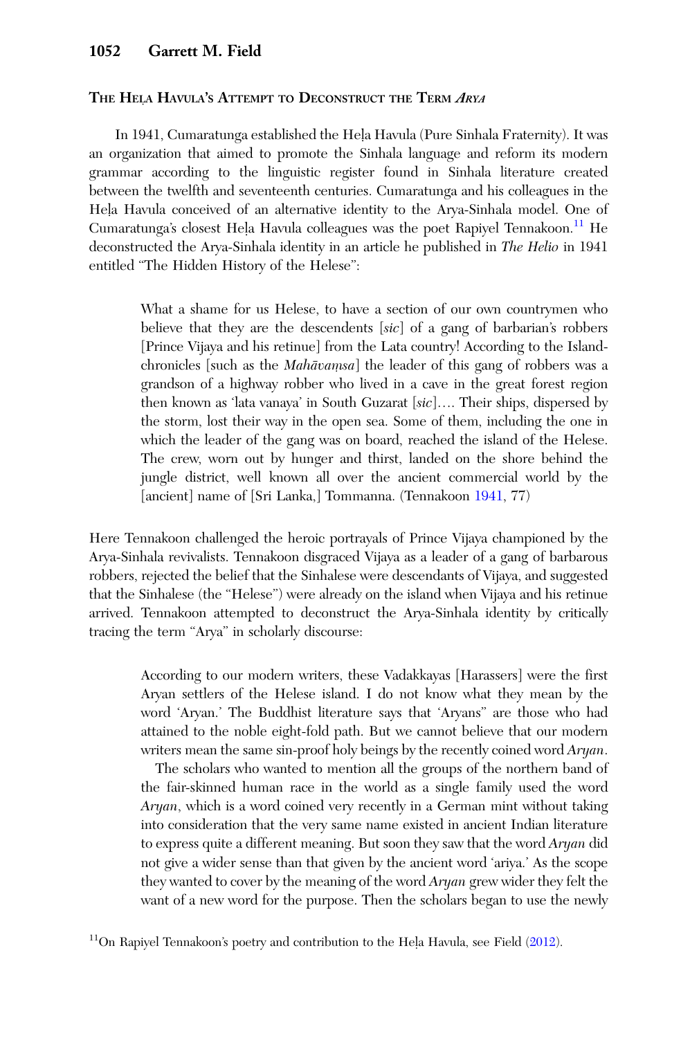## THE HELA HAVULA'S ATTEMPT TO DECONSTRUCT THE TERM ARYA

In 1941, Cumaratunga established the Heḷa Havula (Pure Sinhala Fraternity). It was an organization that aimed to promote the Sinhala language and reform its modern grammar according to the linguistic register found in Sinhala literature created between the twelfth and seventeenth centuries. Cumaratunga and his colleagues in the Hela Havula conceived of an alternative identity to the Arya-Sinhala model. One of Cumaratunga's closest Hela Havula colleagues was the poet Rapiyel Tennakoon.<sup>11</sup> He deconstructed the Arya-Sinhala identity in an article he published in The Helio in 1941 entitled "The Hidden History of the Helese":

What a shame for us Helese, to have a section of our own countrymen who believe that they are the descendents [sic] of a gang of barbarian's robbers [Prince Vijaya and his retinue] from the Lata country! According to the Islandchronicles [such as the *Mahāvamsa*] the leader of this gang of robbers was a grandson of a highway robber who lived in a cave in the great forest region then known as 'lata vanaya' in South Guzarat [sic]…. Their ships, dispersed by the storm, lost their way in the open sea. Some of them, including the one in which the leader of the gang was on board, reached the island of the Helese. The crew, worn out by hunger and thirst, landed on the shore behind the jungle district, well known all over the ancient commercial world by the [ancient] name of [Sri Lanka,] Tommanna. (Tennakoon [1941,](#page-16-0) 77)

Here Tennakoon challenged the heroic portrayals of Prince Vijaya championed by the Arya-Sinhala revivalists. Tennakoon disgraced Vijaya as a leader of a gang of barbarous robbers, rejected the belief that the Sinhalese were descendants of Vijaya, and suggested that the Sinhalese (the "Helese") were already on the island when Vijaya and his retinue arrived. Tennakoon attempted to deconstruct the Arya-Sinhala identity by critically tracing the term "Arya" in scholarly discourse:

According to our modern writers, these Vadakkayas [Harassers] were the first Aryan settlers of the Helese island. I do not know what they mean by the word 'Aryan.' The Buddhist literature says that 'Aryans" are those who had attained to the noble eight-fold path. But we cannot believe that our modern writers mean the same sin-proof holy beings by the recently coined word Aryan.

The scholars who wanted to mention all the groups of the northern band of the fair-skinned human race in the world as a single family used the word Aryan, which is a word coined very recently in a German mint without taking into consideration that the very same name existed in ancient Indian literature to express quite a different meaning. But soon they saw that the word *Aryan* did not give a wider sense than that given by the ancient word 'ariya.' As the scope they wanted to cover by the meaning of the word Aryan grew wider they felt the want of a new word for the purpose. Then the scholars began to use the newly

 $11$ On Rapiyel Tennakoon's poetry and contribution to the Hela Havula, see Field [\(2012](#page-15-0)).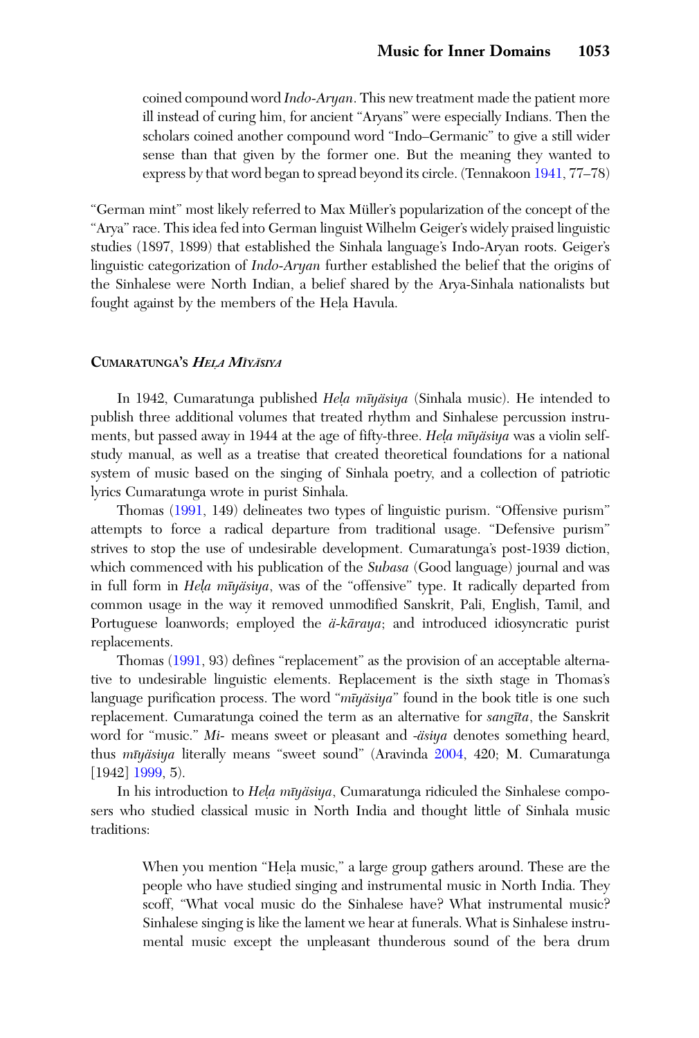coined compound word *Indo-Aryan*. This new treatment made the patient more ill instead of curing him, for ancient "Aryans" were especially Indians. Then the scholars coined another compound word "Indo–Germanic" to give a still wider sense than that given by the former one. But the meaning they wanted to express by that word began to spread beyond its circle. (Tennakoon [1941](#page-16-0), 77–78)

"German mint" most likely referred to Max Müller's popularization of the concept of the "Arya" race. This idea fed into German linguist Wilhelm Geiger's widely praised linguistic studies (1897, 1899) that established the Sinhala language's Indo-Aryan roots. Geiger's linguistic categorization of Indo-Aryan further established the belief that the origins of the Sinhalese were North Indian, a belief shared by the Arya-Sinhala nationalists but fought against by the members of the Hela Havula.

## CUMARATUNGA'S HELA MIYÄSIYA

In 1942, Cumaratunga published Hela mīyäsiya (Sinhala music). He intended to publish three additional volumes that treated rhythm and Sinhalese percussion instruments, but passed away in 1944 at the age of fifty-three. Hela  $m\bar{u}$  yas a violin selfstudy manual, as well as a treatise that created theoretical foundations for a national system of music based on the singing of Sinhala poetry, and a collection of patriotic lyrics Cumaratunga wrote in purist Sinhala.

Thomas ([1991,](#page-16-0) 149) delineates two types of linguistic purism. "Offensive purism" attempts to force a radical departure from traditional usage. "Defensive purism" strives to stop the use of undesirable development. Cumaratunga's post-1939 diction, which commenced with his publication of the *Subasa* (Good language) journal and was in full form in  $Hela$  mīyäsiya, was of the "offensive" type. It radically departed from common usage in the way it removed unmodified Sanskrit, Pali, English, Tamil, and Portuguese loanwords; employed the ä-kāraya; and introduced idiosyncratic purist replacements.

Thomas ([1991,](#page-16-0) 93) defines "replacement" as the provision of an acceptable alternative to undesirable linguistic elements. Replacement is the sixth stage in Thomas's language purification process. The word " $m\bar{u}y\ddot{a}siya$ " found in the book title is one such replacement. Cumaratunga coined the term as an alternative for  $sang\bar{t}ta$ , the Sanskrit word for "music." Mi- means sweet or pleasant and -äsiya denotes something heard, thus  $m\bar{u}y\bar{a}siya$  literally means "sweet sound" (Aravinda [2004](#page-14-0), 420; M. Cumaratunga  $[1942]$  [1999](#page-15-0), 5).

In his introduction to *Hela mujasiya*, Cumaratunga ridiculed the Sinhalese composers who studied classical music in North India and thought little of Sinhala music traditions:

When you mention "Hela music," a large group gathers around. These are the people who have studied singing and instrumental music in North India. They scoff, "What vocal music do the Sinhalese have? What instrumental music? Sinhalese singing is like the lament we hear at funerals. What is Sinhalese instrumental music except the unpleasant thunderous sound of the bera drum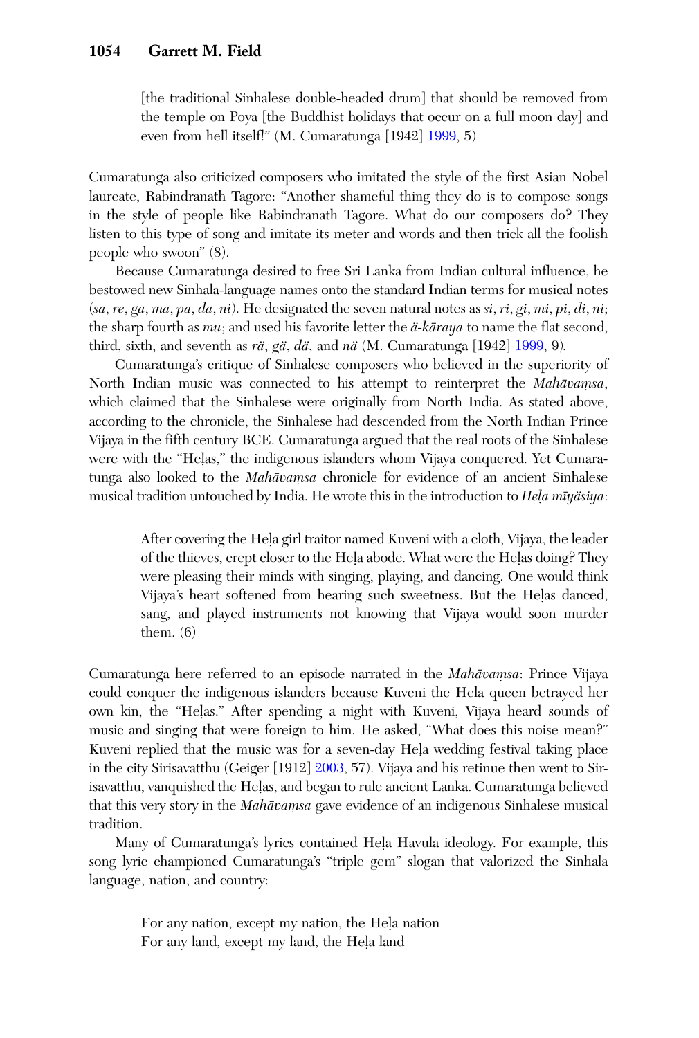## 1054 Garrett M. Field

[the traditional Sinhalese double-headed drum] that should be removed from the temple on Poya [the Buddhist holidays that occur on a full moon day] and even from hell itself!" (M. Cumaratunga [1942] [1999,](#page-15-0) 5)

Cumaratunga also criticized composers who imitated the style of the first Asian Nobel laureate, Rabindranath Tagore: "Another shameful thing they do is to compose songs in the style of people like Rabindranath Tagore. What do our composers do? They listen to this type of song and imitate its meter and words and then trick all the foolish people who swoon" (8).

Because Cumaratunga desired to free Sri Lanka from Indian cultural influence, he bestowed new Sinhala-language names onto the standard Indian terms for musical notes  $(sa, re, ga, ma, pa, da, ni)$ . He designated the seven natural notes as si, ri, gi, mi, pi, di, ni; the sharp fourth as mu; and used his favorite letter the  $\ddot{a}$ -ka $\ddot{a}$  ray to name the flat second, third, sixth, and seventh as rä, gä, dä, and nä (M. Cumaratunga [1942] [1999](#page-15-0), 9).

Cumaratunga's critique of Sinhalese composers who believed in the superiority of North Indian music was connected to his attempt to reinterpret the *Mahāvamsa*, which claimed that the Sinhalese were originally from North India. As stated above, according to the chronicle, the Sinhalese had descended from the North Indian Prince Vijaya in the fifth century BCE. Cumaratunga argued that the real roots of the Sinhalese were with the "Helas," the indigenous islanders whom Vijaya conquered. Yet Cumaratunga also looked to the *Mahāvamsa* chronicle for evidence of an ancient Sinhalese musical tradition untouched by India. He wrote this in the introduction to  $Hela m\bar{u}y\bar{a}siya$ :

After covering the Hela girl traitor named Kuveni with a cloth, Vijaya, the leader of the thieves, crept closer to the Hela abode. What were the Helas doing? They were pleasing their minds with singing, playing, and dancing. One would think Vijaya's heart softened from hearing such sweetness. But the Helas danced, sang, and played instruments not knowing that Vijaya would soon murder them. (6)

Cumaratunga here referred to an episode narrated in the *Mahāvamsa*: Prince Vijaya could conquer the indigenous islanders because Kuveni the Hela queen betrayed her own kin, the "Heḷas." After spending a night with Kuveni, Vijaya heard sounds of music and singing that were foreign to him. He asked, "What does this noise mean?" Kuveni replied that the music was for a seven-day Hela wedding festival taking place in the city Sirisavatthu (Geiger [1912] [2003,](#page-15-0) 57). Vijaya and his retinue then went to Sirisavatthu, vanquished the Helas, and began to rule ancient Lanka. Cumaratunga believed that this very story in the *Mahāvamsa* gave evidence of an indigenous Sinhalese musical tradition.

Many of Cumaratunga's lyrics contained Heḷa Havula ideology. For example, this song lyric championed Cumaratunga's "triple gem" slogan that valorized the Sinhala language, nation, and country:

For any nation, except my nation, the Hela nation For any land, except my land, the Hela land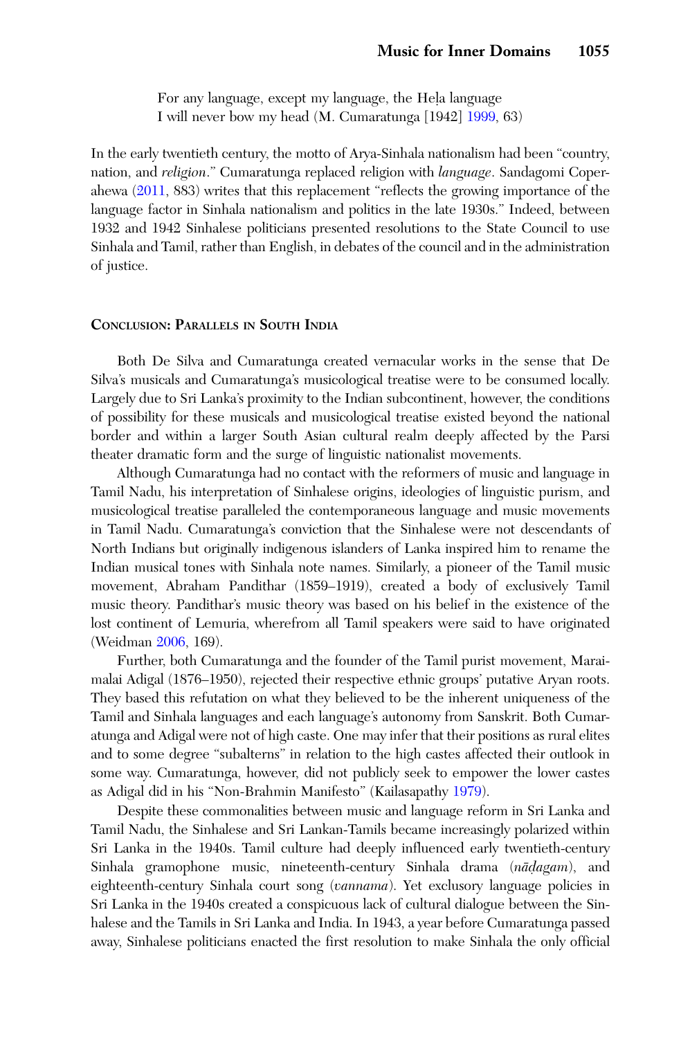For any language, except my language, the Hela language I will never bow my head (M. Cumaratunga [1942] [1999,](#page-15-0) 63)

In the early twentieth century, the motto of Arya-Sinhala nationalism had been "country, nation, and religion." Cumaratunga replaced religion with language. Sandagomi Coperahewa ([2011,](#page-15-0) 883) writes that this replacement "reflects the growing importance of the language factor in Sinhala nationalism and politics in the late 1930s." Indeed, between 1932 and 1942 Sinhalese politicians presented resolutions to the State Council to use Sinhala and Tamil, rather than English, in debates of the council and in the administration of justice.

#### CONCLUSION: PARALLELS IN SOUTH INDIA

Both De Silva and Cumaratunga created vernacular works in the sense that De Silva's musicals and Cumaratunga's musicological treatise were to be consumed locally. Largely due to Sri Lanka's proximity to the Indian subcontinent, however, the conditions of possibility for these musicals and musicological treatise existed beyond the national border and within a larger South Asian cultural realm deeply affected by the Parsi theater dramatic form and the surge of linguistic nationalist movements.

Although Cumaratunga had no contact with the reformers of music and language in Tamil Nadu, his interpretation of Sinhalese origins, ideologies of linguistic purism, and musicological treatise paralleled the contemporaneous language and music movements in Tamil Nadu. Cumaratunga's conviction that the Sinhalese were not descendants of North Indians but originally indigenous islanders of Lanka inspired him to rename the Indian musical tones with Sinhala note names. Similarly, a pioneer of the Tamil music movement, Abraham Pandithar (1859–1919), created a body of exclusively Tamil music theory. Pandithar's music theory was based on his belief in the existence of the lost continent of Lemuria, wherefrom all Tamil speakers were said to have originated (Weidman [2006,](#page-16-0) 169).

Further, both Cumaratunga and the founder of the Tamil purist movement, Maraimalai Adigal (1876–1950), rejected their respective ethnic groups' putative Aryan roots. They based this refutation on what they believed to be the inherent uniqueness of the Tamil and Sinhala languages and each language's autonomy from Sanskrit. Both Cumaratunga and Adigal were not of high caste. One may infer that their positions as rural elites and to some degree "subalterns" in relation to the high castes affected their outlook in some way. Cumaratunga, however, did not publicly seek to empower the lower castes as Adigal did in his "Non-Brahmin Manifesto" (Kailasapathy [1979\)](#page-15-0).

Despite these commonalities between music and language reform in Sri Lanka and Tamil Nadu, the Sinhalese and Sri Lankan-Tamils became increasingly polarized within Sri Lanka in the 1940s. Tamil culture had deeply influenced early twentieth-century Sinhala gramophone music, nineteenth-century Sinhala drama  $(n\bar{a}dagam)$ , and eighteenth-century Sinhala court song (*vannama*). Yet exclusory language policies in Sri Lanka in the 1940s created a conspicuous lack of cultural dialogue between the Sinhalese and the Tamils in Sri Lanka and India. In 1943, a year before Cumaratunga passed away, Sinhalese politicians enacted the first resolution to make Sinhala the only official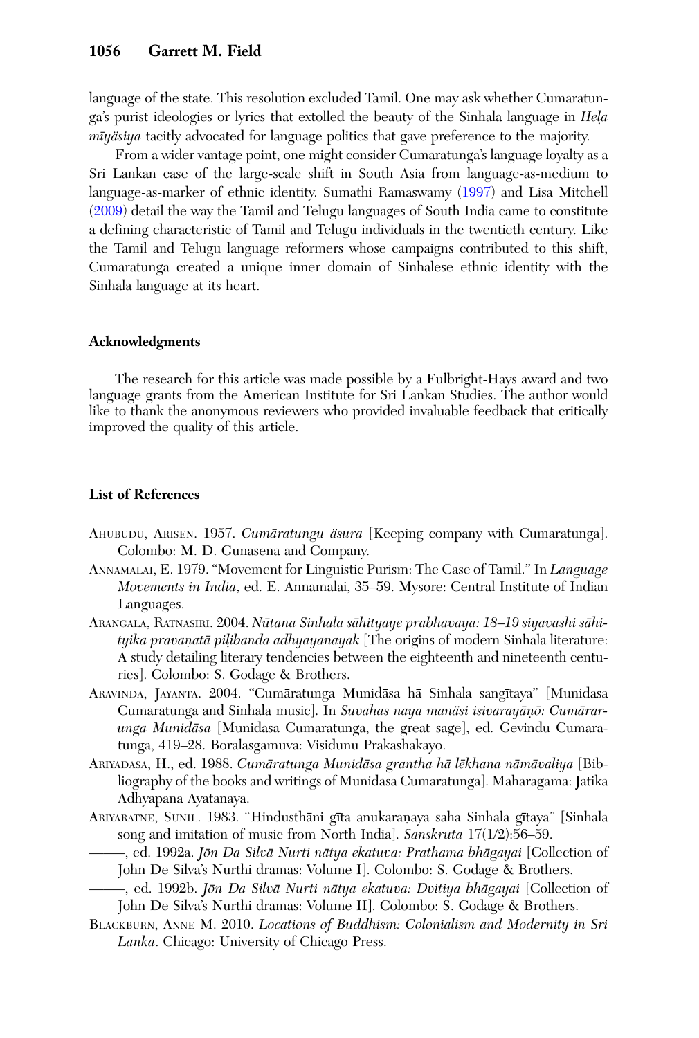<span id="page-14-0"></span>language of the state. This resolution excluded Tamil. One may ask whether Cumaratunga's purist ideologies or lyrics that extolled the beauty of the Sinhala language in Hela  $m\bar{u}y\bar{a}s\bar{i}y\bar{a}$  tacitly advocated for language politics that gave preference to the majority.

From a wider vantage point, one might consider Cumaratunga's language loyalty as a Sri Lankan case of the large-scale shift in South Asia from language-as-medium to language-as-marker of ethnic identity. Sumathi Ramaswamy [\(1997](#page-16-0)) and Lisa Mitchell ([2009\)](#page-16-0) detail the way the Tamil and Telugu languages of South India came to constitute a defining characteristic of Tamil and Telugu individuals in the twentieth century. Like the Tamil and Telugu language reformers whose campaigns contributed to this shift, Cumaratunga created a unique inner domain of Sinhalese ethnic identity with the Sinhala language at its heart.

#### Acknowledgments

The research for this article was made possible by a Fulbright-Hays award and two language grants from the American Institute for Sri Lankan Studies. The author would like to thank the anonymous reviewers who provided invaluable feedback that critically improved the quality of this article.

### List of References

- AHUBUDU, ARISEN. 1957. Cumāratungu äsura [Keeping company with Cumaratunga]. Colombo: M. D. Gunasena and Company.
- ANNAMALAI, E. 1979. "Movement for Linguistic Purism: The Case of Tamil." In Language Movements in India, ed. E. Annamalai, 35–59. Mysore: Central Institute of Indian Languages.
- ARANGALA, RATNASIRI. 2004. Nūtana Sinhala sāhityaye prabhavaya: 18–19 siyavashi sāhityika pravanatā pilibanda adhyayanayak [The origins of modern Sinhala literature: A study detailing literary tendencies between the eighteenth and nineteenth centuries]. Colombo: S. Godage & Brothers.
- ARAVINDA, JAYANTA. 2004. "Cumāratunga Munidāsa hā Sinhala sangītaya" [Munidasa Cumaratunga and Sinhala music]. In Suvahas naya manäsi isivarayāņō: Cumārarunga Munidāsa [Munidasa Cumaratunga, the great sage], ed. Gevindu Cumaratunga, 419–28. Boralasgamuva: Visidunu Prakashakayo.
- ARIYADASA, H., ed. 1988. Cumāratunga Munidāsa grantha hā lēkhana nāmāvaliya [Bibliography of the books and writings of Munidasa Cumaratunga]. Maharagama: Jatika Adhyapana Ayatanaya.
- ARIYARATNE, SUNIL. 1983. "Hindusthāni gīta anukaraṇaya saha Sinhala gītaya" [Sinhala song and imitation of music from North India]. Sanskruta 17(1/2):56–59.
	- —, ed. 1992a. J*ōn Da Silvā Nurti nātya ekatuva: Prathama bhāgayai* [Collection of John De Silva's Nurthi dramas: Volume I]. Colombo: S. Godage & Brothers.
	- —, ed. 1992b. Jōn Da Silvā Nurti nātya ekatuva: Dvitiya bhāgayai [Collection of John De Silva's Nurthi dramas: Volume II]. Colombo: S. Godage & Brothers.
- BLACKBURN, ANNE M. 2010. Locations of Buddhism: Colonialism and Modernity in Sri Lanka. Chicago: University of Chicago Press.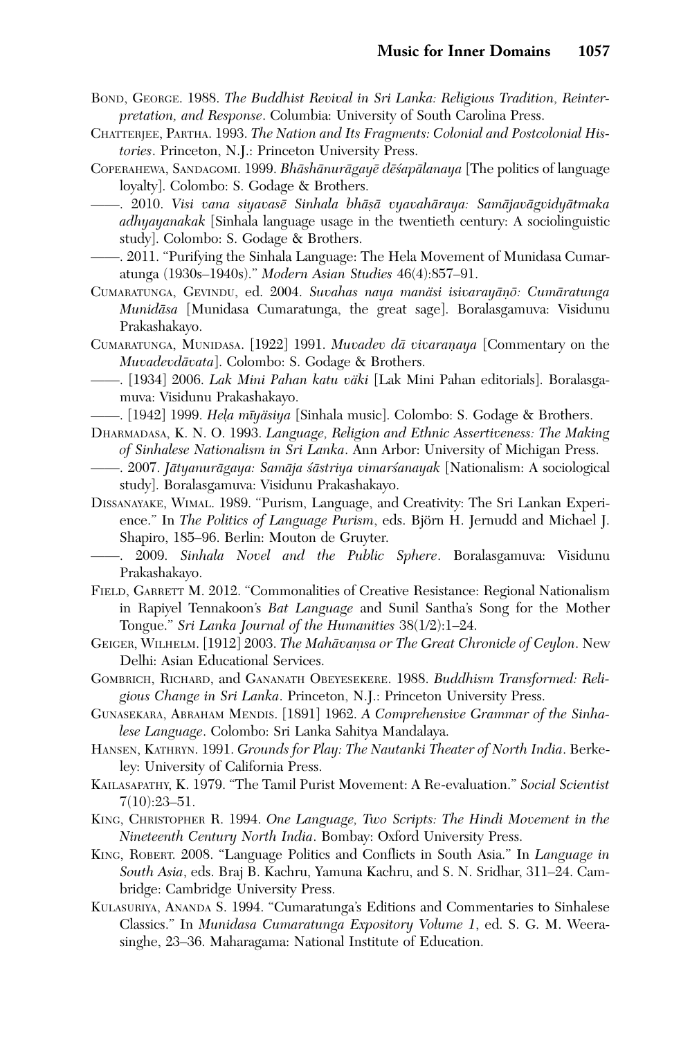- <span id="page-15-0"></span>BOND, GEORGE. 1988. The Buddhist Revival in Sri Lanka: Religious Tradition, Reinterpretation, and Response. Columbia: University of South Carolina Press.
- CHATTERJEE, PARTHA. 1993. The Nation and Its Fragments: Colonial and Postcolonial Histories. Princeton, N.J.: Princeton University Press.
- COPERAHEWA, SANDAGOMI. 1999. Bhāshānurāgayē dēśapālanaya [The politics of language loyalty]. Colombo: S. Godage & Brothers.
	- —. 2010. Visi vana siyavasē Sinhala bhāṣā vyavahāraya: Samājavāgvidyātmaka adhyayanakak [Sinhala language usage in the twentieth century: A sociolinguistic study]. Colombo: S. Godage & Brothers.
- ——. 2011. "Purifying the Sinhala Language: The Hela Movement of Munidasa Cumaratunga (1930s–1940s)." Modern Asian Studies 46(4):857–91.
- CUMARATUNGA, GEVINDU, ed. 2004. Suvahas naya manäsi isivarayānō: Cumāratunga Munidāsa [Munidasa Cumaratunga, the great sage]. Boralasgamuva: Visidunu Prakashakayo.
- CUMARATUNGA, MUNIDASA. [1922] 1991. Muvadev dā vivaraņaya [Commentary on the Muvadevdāvata]. Colombo: S. Godage & Brothers.
- ——. [1934] 2006. Lak Mini Pahan katu väki [Lak Mini Pahan editorials]. Boralasgamuva: Visidunu Prakashakayo.
- —. [1942] 1999. Hela mīyäsiya [Sinhala music]. Colombo: S. Godage & Brothers.
- DHARMADASA, K. N. O. 1993. Language, Religion and Ethnic Assertiveness: The Making of Sinhalese Nationalism in Sri Lanka. Ann Arbor: University of Michigan Press.
- —. 2007. Jātyanurāgaya: Samāja s´āstriya vimars´anayak [Nationalism: A sociological study]. Boralasgamuva: Visidunu Prakashakayo.
- DISSANAYAKE, WIMAL. 1989. "Purism, Language, and Creativity: The Sri Lankan Experience." In The Politics of Language Purism, eds. Björn H. Jernudd and Michael J. Shapiro, 185–96. Berlin: Mouton de Gruyter.
	- ——. 2009. Sinhala Novel and the Public Sphere. Boralasgamuva: Visidunu Prakashakayo.
- FIELD, GARRETT M. 2012. "Commonalities of Creative Resistance: Regional Nationalism in Rapiyel Tennakoon's Bat Language and Sunil Santha's Song for the Mother Tongue." Sri Lanka Journal of the Humanities 38(1/2):1–24.
- GEIGER, WILHELM. [1912] 2003. The Mahāvamsa or The Great Chronicle of Ceylon. New Delhi: Asian Educational Services.
- GOMBRICH, RICHARD, and GANANATH OBEYESEKERE. 1988. Buddhism Transformed: Religious Change in Sri Lanka. Princeton, N.J.: Princeton University Press.
- GUNASEKARA, ABRAHAM MENDIS. [1891] 1962. A Comprehensive Grammar of the Sinhalese Language. Colombo: Sri Lanka Sahitya Mandalaya.
- HANSEN, KATHRYN. 1991. Grounds for Play: The Nautanki Theater of North India. Berkeley: University of California Press.
- KAILASAPATHY, K. 1979. "The Tamil Purist Movement: A Re-evaluation." Social Scientist  $7(10):23-51.$
- KING, CHRISTOPHER R. 1994. One Language, Two Scripts: The Hindi Movement in the Nineteenth Century North India. Bombay: Oxford University Press.
- KING, ROBERT. 2008. "Language Politics and Conflicts in South Asia." In Language in South Asia, eds. Braj B. Kachru, Yamuna Kachru, and S. N. Sridhar, 311–24. Cambridge: Cambridge University Press.
- KULASURIYA, ANANDA S. 1994. "Cumaratunga's Editions and Commentaries to Sinhalese Classics." In Munidasa Cumaratunga Expository Volume 1, ed. S. G. M. Weerasinghe, 23–36. Maharagama: National Institute of Education.